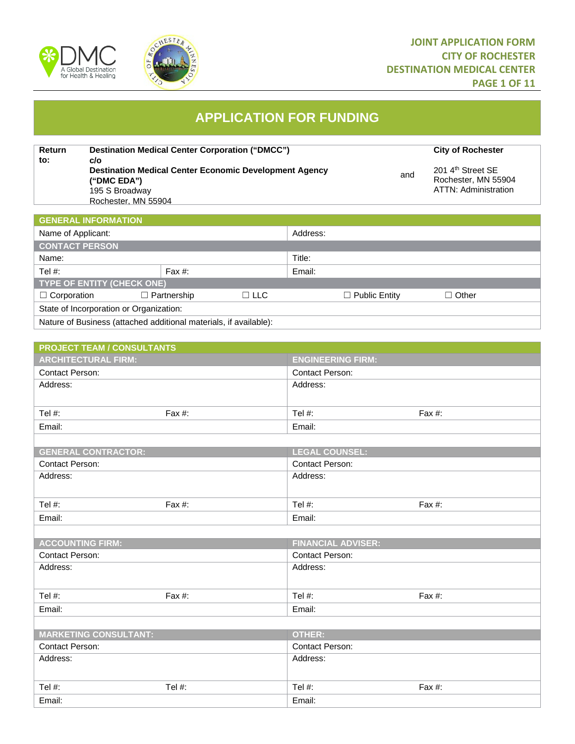



# **JOINT APPLICATION FORM CITY OF ROCHESTER DESTINATION MEDICAL CENTER PAGE 1 OF 11**

# **APPLICATION FOR FUNDING**

**Return to:** and **Destination Medical Center Corporation ("DMCC") 
<br>
City of Rochester c/o Destination Medical Center Economic Development Agency ("DMC EDA")** 195 S Broadway Rochester, MN 55904 201 4<sup>th</sup> Street SE Rochester, MN 55904 ATTN: Administration

| <u><b>GENERAL INFORMATION</b></u>                                 |                    |            |        |                      |              |  |
|-------------------------------------------------------------------|--------------------|------------|--------|----------------------|--------------|--|
| Name of Applicant:                                                |                    | Address:   |        |                      |              |  |
| <b>CONTACT PERSON</b>                                             |                    |            |        |                      |              |  |
| Name:                                                             |                    | Title:     |        |                      |              |  |
| Tel #:                                                            | Fax $#$ :          |            | Email: |                      |              |  |
| <b>TYPE OF ENTITY (CHECK ONE)</b>                                 |                    |            |        |                      |              |  |
| $\Box$ Corporation                                                | $\Box$ Partnership | $\Box$ LLC |        | $\Box$ Public Entity | $\Box$ Other |  |
| State of Incorporation or Organization:                           |                    |            |        |                      |              |  |
| Nature of Business (attached additional materials, if available): |                    |            |        |                      |              |  |

| <b>PROJECT TEAM / CONSULTANTS</b> |           |                           |           |
|-----------------------------------|-----------|---------------------------|-----------|
| <b>ARCHITECTURAL FIRM:</b>        |           | <b>ENGINEERING FIRM:</b>  |           |
| <b>Contact Person:</b>            |           | Contact Person:           |           |
| Address:                          |           | Address:                  |           |
|                                   |           |                           |           |
| Tel $#$ :                         | Fax $#$ : | Tel #:                    | Fax $#$ : |
| Email:                            |           | Email:                    |           |
|                                   |           |                           |           |
| <b>GENERAL CONTRACTOR:</b>        |           | <b>LEGAL COUNSEL:</b>     |           |
| <b>Contact Person:</b>            |           | <b>Contact Person:</b>    |           |
| Address:                          |           | Address:                  |           |
|                                   |           |                           |           |
| Tel #:                            | Fax $#$ : | Tel #:                    | Fax #:    |
| Email:                            |           | Email:                    |           |
|                                   |           |                           |           |
| <b>ACCOUNTING FIRM:</b>           |           | <b>FINANCIAL ADVISER:</b> |           |
| <b>Contact Person:</b>            |           | <b>Contact Person:</b>    |           |
| Address:                          |           | Address:                  |           |
|                                   |           |                           |           |
| Tel #:                            | Fax #:    | Tel #:                    | Fax #:    |
| Email:                            |           | Email:                    |           |
|                                   |           |                           |           |
| <b>MARKETING CONSULTANT:</b>      |           | <b>OTHER:</b>             |           |
| <b>Contact Person:</b>            |           | <b>Contact Person:</b>    |           |
| Address:                          |           | Address:                  |           |
|                                   |           |                           |           |
| Tel #:                            | Tel #:    | Tel #:                    | Fax #:    |
| Email:                            |           | Email:                    |           |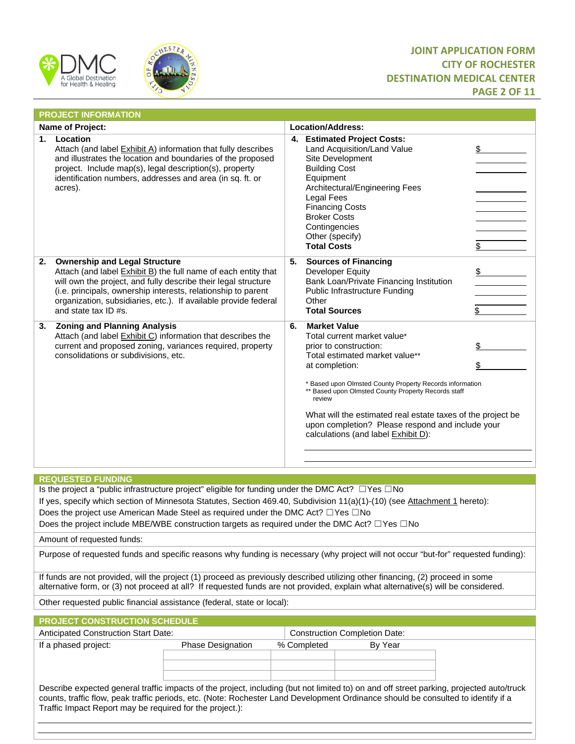



# **JOINT APPLICATION FORM CITY OF ROCHESTER DESTINATION MEDICAL CENTER PAGE 2 OF 11**

|    | <b>PROJECT INFORMATION</b>                                                                                                                                                                                                                                                                                                           |    |                                                                                                                                                                                                                                                                                                                                                                                                                         |          |
|----|--------------------------------------------------------------------------------------------------------------------------------------------------------------------------------------------------------------------------------------------------------------------------------------------------------------------------------------|----|-------------------------------------------------------------------------------------------------------------------------------------------------------------------------------------------------------------------------------------------------------------------------------------------------------------------------------------------------------------------------------------------------------------------------|----------|
|    | <b>Name of Project:</b>                                                                                                                                                                                                                                                                                                              |    | Location/Address:                                                                                                                                                                                                                                                                                                                                                                                                       |          |
| 1. | Location<br>Attach (and label Exhibit A) information that fully describes<br>and illustrates the location and boundaries of the proposed<br>project. Include map(s), legal description(s), property<br>identification numbers, addresses and area (in sq. ft. or<br>acres).                                                          |    | 4. Estimated Project Costs:<br>Land Acquisition/Land Value<br>Site Development<br><b>Building Cost</b><br>Equipment<br>Architectural/Engineering Fees<br>Legal Fees<br><b>Financing Costs</b><br><b>Broker Costs</b><br>Contingencies<br>Other (specify)<br><b>Total Costs</b>                                                                                                                                          | \$<br>\$ |
| 2. | <b>Ownership and Legal Structure</b><br>Attach (and label Exhibit B) the full name of each entity that<br>will own the project, and fully describe their legal structure<br>(i.e. principals, ownership interests, relationship to parent<br>organization, subsidiaries, etc.). If available provide federal<br>and state tax ID #s. | 5. | <b>Sources of Financing</b><br>Developer Equity<br>Bank Loan/Private Financing Institution<br>Public Infrastructure Funding<br>Other<br><b>Total Sources</b>                                                                                                                                                                                                                                                            | \$<br>\$ |
| 3. | <b>Zoning and Planning Analysis</b><br>Attach (and label Exhibit C) information that describes the<br>current and proposed zoning, variances required, property<br>consolidations or subdivisions, etc.                                                                                                                              | 6. | <b>Market Value</b><br>Total current market value*<br>prior to construction:<br>Total estimated market value**<br>at completion:<br>* Based upon Olmsted County Property Records information<br>** Based upon Olmsted County Property Records staff<br>review<br>What will the estimated real estate taxes of the project be<br>upon completion? Please respond and include your<br>calculations (and label Exhibit D): | \$<br>\$ |
|    | <b>REQUESTED FUNDING</b>                                                                                                                                                                                                                                                                                                             |    |                                                                                                                                                                                                                                                                                                                                                                                                                         |          |

Is the project a "public infrastructure project" eligible for funding under the DMC Act? ☐Yes ☐No

If yes, specify which section of Minnesota Statutes, Section 469.40, Subdivision 11(a)(1)-(10) (see Attachment 1 hereto):

Does the project use American Made Steel as required under the DMC Act? □Yes □No

Does the project include MBE/WBE construction targets as required under the DMC Act? □Yes □No

Amount of requested funds:

Purpose of requested funds and specific reasons why funding is necessary (why project will not occur "but-for" requested funding):

If funds are not provided, will the project (1) proceed as previously described utilizing other financing, (2) proceed in some alternative form, or (3) not proceed at all? If requested funds are not provided, explain what alternative(s) will be considered.

Other requested public financial assistance (federal, state or local):

| <b>PROJECT CONSTRUCTION SCHEDULE</b>                                                                                                                                                                                                                                                                                                      |                          |             |                                      |  |  |  |
|-------------------------------------------------------------------------------------------------------------------------------------------------------------------------------------------------------------------------------------------------------------------------------------------------------------------------------------------|--------------------------|-------------|--------------------------------------|--|--|--|
| <b>Anticipated Construction Start Date:</b>                                                                                                                                                                                                                                                                                               |                          |             | <b>Construction Completion Date:</b> |  |  |  |
| If a phased project:                                                                                                                                                                                                                                                                                                                      | <b>Phase Designation</b> | % Completed | By Year                              |  |  |  |
| Describe expected general traffic impacts of the project, including (but not limited to) on and off street parking, projected auto/truck<br>counts, traffic flow, peak traffic periods, etc. (Note: Rochester Land Development Ordinance should be consulted to identify if a<br>Traffic Impact Report may be required for the project.): |                          |             |                                      |  |  |  |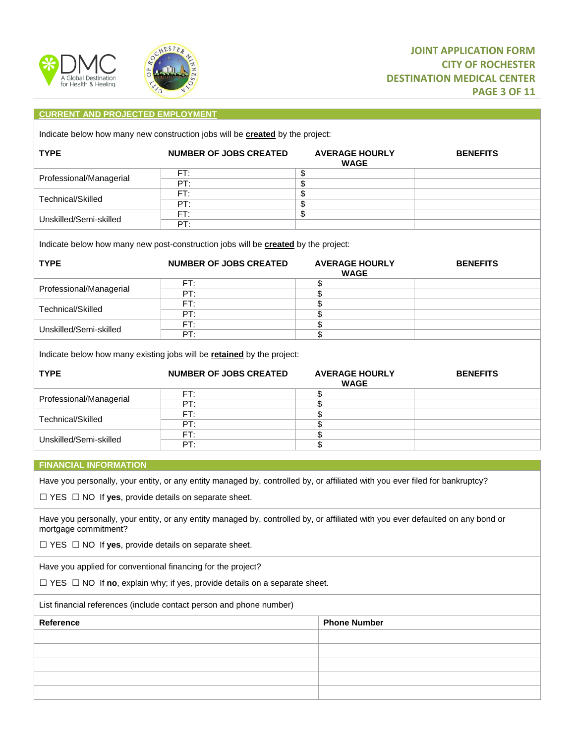



### **CURRENT AND PROJECTED EMPLOYMENT**

Indicate below how many new construction jobs will be **created** by the project:

| <b>TYPE</b>             | <b>NUMBER OF JOBS CREATED</b> | <b>AVERAGE HOURLY</b><br><b>WAGE</b> | <b>BENEFITS</b> |
|-------------------------|-------------------------------|--------------------------------------|-----------------|
| Professional/Managerial | FT:                           |                                      |                 |
|                         | PT:                           |                                      |                 |
| Technical/Skilled       | FT:                           |                                      |                 |
|                         | PT:                           |                                      |                 |
| Unskilled/Semi-skilled  | FT:                           |                                      |                 |
|                         | PT:                           |                                      |                 |
|                         |                               |                                      |                 |

Indicate below how many new post-construction jobs will be **created** by the project:

| <b>TYPE</b>             | <b>NUMBER OF JOBS CREATED</b> | <b>AVERAGE HOURLY</b><br><b>WAGE</b> | <b>BENEFITS</b> |
|-------------------------|-------------------------------|--------------------------------------|-----------------|
|                         | FT:                           |                                      |                 |
| Professional/Managerial | PT:                           |                                      |                 |
| Technical/Skilled       | FT:                           |                                      |                 |
|                         | PT:                           |                                      |                 |
| Unskilled/Semi-skilled  | FT:                           |                                      |                 |
|                         | PT:                           |                                      |                 |

Indicate below how many existing jobs will be **retained** by the project:

| <b>TYPE</b>             | <b>NUMBER OF JOBS CREATED</b> | <b>AVERAGE HOURLY</b><br><b>WAGE</b> | <b>BENEFITS</b> |
|-------------------------|-------------------------------|--------------------------------------|-----------------|
|                         | FT:                           |                                      |                 |
| Professional/Managerial | PT:                           |                                      |                 |
| Technical/Skilled       | FT:                           |                                      |                 |
|                         | PT:                           |                                      |                 |
| Unskilled/Semi-skilled  | FT:                           |                                      |                 |
|                         | PT:                           |                                      |                 |

#### **FINANCIAL INFORMATION**

Have you personally, your entity, or any entity managed by, controlled by, or affiliated with you ever filed for bankruptcy?

☐ YES ☐ NO If **yes**, provide details on separate sheet.

Have you personally, your entity, or any entity managed by, controlled by, or affiliated with you ever defaulted on any bond or mortgage commitment?

☐ YES ☐ NO If **yes**, provide details on separate sheet.

Have you applied for conventional financing for the project?

☐ YES ☐ NO If **no**, explain why; if yes, provide details on a separate sheet.

List financial references (include contact person and phone number)

| Reference | <b>Phone Number</b> |
|-----------|---------------------|
|           |                     |
|           |                     |
|           |                     |
|           |                     |
|           |                     |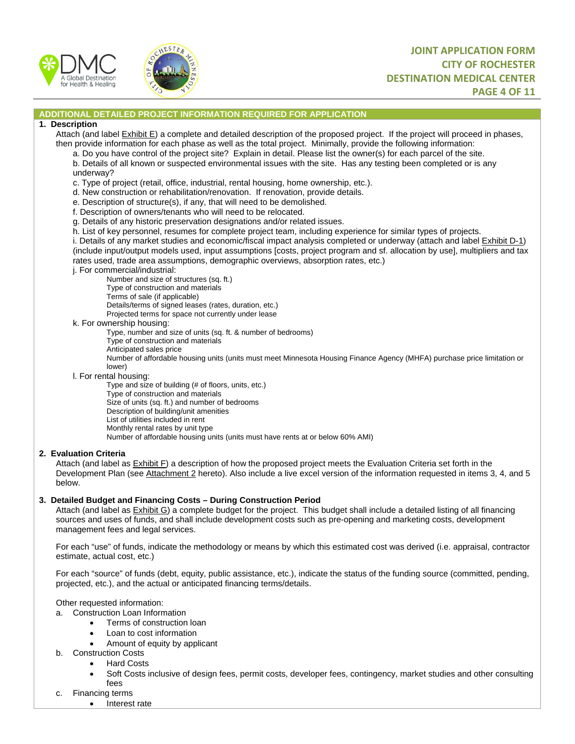



### **ADDITIONAL DETAILED PROJECT INFORMATION REQUIRED FOR APPLICATION**

#### **1. Description**

Attach (and label Exhibit E) a complete and detailed description of the proposed project. If the project will proceed in phases, then provide information for each phase as well as the total project. Minimally, provide the following information:

- a. Do you have control of the project site? Explain in detail. Please list the owner(s) for each parcel of the site.
- b. Details of all known or suspected environmental issues with the site. Has any testing been completed or is any underway?
- c. Type of project (retail, office, industrial, rental housing, home ownership, etc.).
- d. New construction or rehabilitation/renovation. If renovation, provide details.
- e. Description of structure(s), if any, that will need to be demolished.
- f. Description of owners/tenants who will need to be relocated.
- g. Details of any historic preservation designations and/or related issues.
- h. List of key personnel, resumes for complete project team, including experience for similar types of projects.

i. Details of any market studies and economic/fiscal impact analysis completed or underway (attach and label Exhibit D-1) (include input/output models used, input assumptions [costs, project program and sf. allocation by use], multipliers and tax rates used, trade area assumptions, demographic overviews, absorption rates, etc.)

j. For commercial/industrial:

Number and size of structures (sq. ft.)

- Type of construction and materials
- Terms of sale (if applicable)
- Details/terms of signed leases (rates, duration, etc.)
- Projected terms for space not currently under lease
- k. For ownership housing:
	- Type, number and size of units (sq. ft. & number of bedrooms)
	- Type of construction and materials
	- Anticipated sales price

Number of affordable housing units (units must meet Minnesota Housing Finance Agency (MHFA) purchase price limitation or lower)

l. For rental housing:

Type and size of building (# of floors, units, etc.)

- Type of construction and materials
- Size of units (sq. ft.) and number of bedrooms
- Description of building/unit amenities
- List of utilities included in rent
- Monthly rental rates by unit type

Number of affordable housing units (units must have rents at or below 60% AMI)

#### **2. Evaluation Criteria**

Attach (and label as Exhibit F) a description of how the proposed project meets the Evaluation Criteria set forth in the Development Plan (see Attachment 2 hereto). Also include a live excel version of the information requested in items 3, 4, and 5 below.

#### **3. Detailed Budget and Financing Costs – During Construction Period**

Attach (and label as Exhibit G) a complete budget for the project. This budget shall include a detailed listing of all financing sources and uses of funds, and shall include development costs such as pre-opening and marketing costs, development management fees and legal services.

For each "use" of funds, indicate the methodology or means by which this estimated cost was derived (i.e. appraisal, contractor estimate, actual cost, etc.)

For each "source" of funds (debt, equity, public assistance, etc.), indicate the status of the funding source (committed, pending, projected, etc.), and the actual or anticipated financing terms/details.

Other requested information:

- a. Construction Loan Information
	- Terms of construction loan
	- Loan to cost information
	- Amount of equity by applicant
- b. Construction Costs
	- Hard Costs
	- Soft Costs inclusive of design fees, permit costs, developer fees, contingency, market studies and other consulting fees
- c. Financing terms
	- Interest rate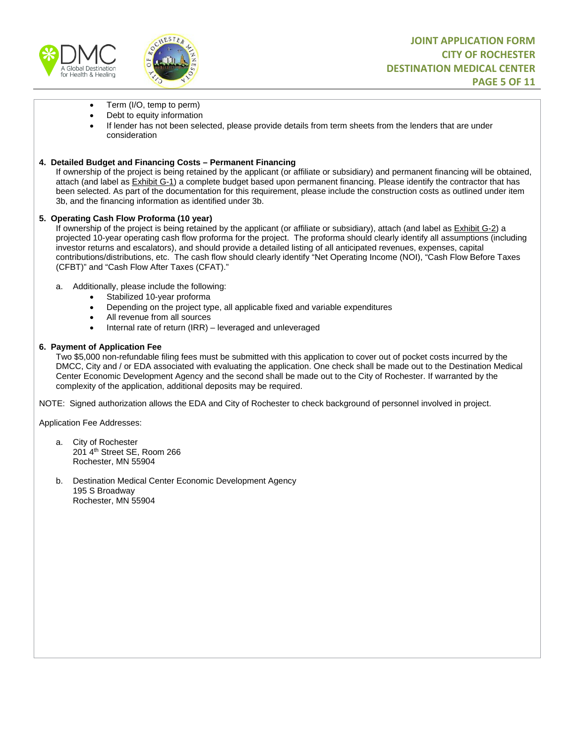



- Term (I/O, temp to perm)
- Debt to equity information
- If lender has not been selected, please provide details from term sheets from the lenders that are under consideration

### **4. Detailed Budget and Financing Costs – Permanent Financing**

If ownership of the project is being retained by the applicant (or affiliate or subsidiary) and permanent financing will be obtained, attach (and label as Exhibit G-1) a complete budget based upon permanent financing. Please identify the contractor that has been selected. As part of the documentation for this requirement, please include the construction costs as outlined under item 3b, and the financing information as identified under 3b.

#### **5. Operating Cash Flow Proforma (10 year)**

If ownership of the project is being retained by the applicant (or affiliate or subsidiary), attach (and label as Exhibit G-2) a projected 10-year operating cash flow proforma for the project. The proforma should clearly identify all assumptions (including investor returns and escalators), and should provide a detailed listing of all anticipated revenues, expenses, capital contributions/distributions, etc. The cash flow should clearly identify "Net Operating Income (NOI), "Cash Flow Before Taxes (CFBT)" and "Cash Flow After Taxes (CFAT)."

- a. Additionally, please include the following:
	- Stabilized 10-year proforma
	- Depending on the project type, all applicable fixed and variable expenditures
	- All revenue from all sources
	- Internal rate of return (IRR) leveraged and unleveraged

### **6. Payment of Application Fee**

Two \$5,000 non-refundable filing fees must be submitted with this application to cover out of pocket costs incurred by the DMCC, City and / or EDA associated with evaluating the application. One check shall be made out to the Destination Medical Center Economic Development Agency and the second shall be made out to the City of Rochester. If warranted by the complexity of the application, additional deposits may be required.

NOTE: Signed authorization allows the EDA and City of Rochester to check background of personnel involved in project.

Application Fee Addresses:

- a. City of Rochester 201 4th Street SE, Room 266 Rochester, MN 55904
- b. Destination Medical Center Economic Development Agency 195 S Broadway Rochester, MN 55904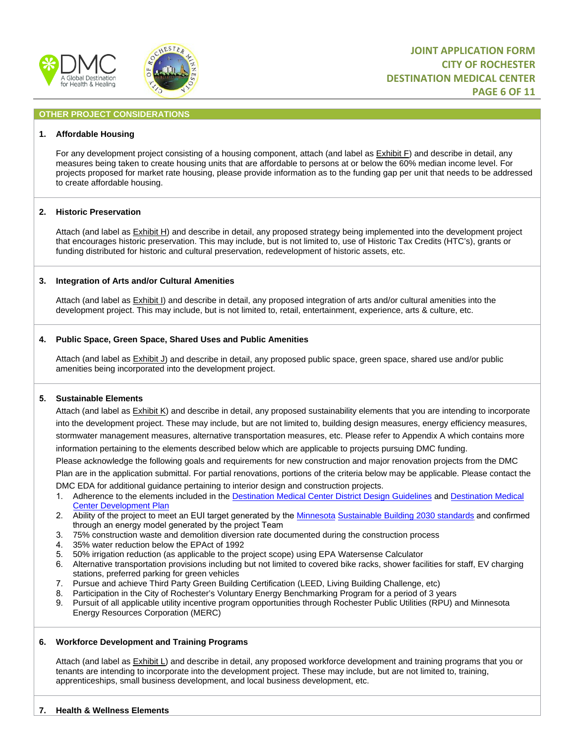



### **OTHER PROJECT CONSIDERATIONS**

#### **1. Affordable Housing**

For any development project consisting of a housing component, attach (and label as Exhibit F) and describe in detail, any measures being taken to create housing units that are affordable to persons at or below the 60% median income level. For projects proposed for market rate housing, please provide information as to the funding gap per unit that needs to be addressed to create affordable housing.

#### **2. Historic Preservation**

Attach (and label as Exhibit H) and describe in detail, any proposed strategy being implemented into the development project that encourages historic preservation. This may include, but is not limited to, use of Historic Tax Credits (HTC's), grants or funding distributed for historic and cultural preservation, redevelopment of historic assets, etc.

#### **3. Integration of Arts and/or Cultural Amenities**

Attach (and label as Exhibit I) and describe in detail, any proposed integration of arts and/or cultural amenities into the development project. This may include, but is not limited to, retail, entertainment, experience, arts & culture, etc.

#### **4. Public Space, Green Space, Shared Uses and Public Amenities**

Attach (and label as Exhibit J) and describe in detail, any proposed public space, green space, shared use and/or public amenities being incorporated into the development project.

#### **5. Sustainable Elements**

Attach (and label as Exhibit K) and describe in detail, any proposed sustainability elements that you are intending to incorporate into the development project. These may include, but are not limited to, building design measures, energy efficiency measures, stormwater management measures, alternative transportation measures, etc. Please refer to Appendix A which contains more information pertaining to the elements described below which are applicable to projects pursuing DMC funding.

Please acknowledge the following goals and requirements for new construction and major renovation projects from the DMC

Plan are in the application submittal. For partial renovations, portions of the criteria below may be applicable. Please contact the DMC EDA for additional guidance pertaining to interior design and construction projects.

- 1. Adherence to the elements included in the [Destination Medical Center District Design Guidelines](https://www.rochestermn.gov/Home/ShowDocument?id=10867) and [Destination Medical](https://dmc.mn/themencode-pdf-viewer/?file=https://dmc.mn/wp-content/uploads/development-plan/DMC%20Development%20Plan%20Vol.%20II%20(Sec%205-6)%20DRAFT.pdf) [Center Development Plan](https://dmc.mn/themencode-pdf-viewer/?file=https://dmc.mn/wp-content/uploads/development-plan/DMC%20Development%20Plan%20Vol.%20II%20(Sec%205-6)%20DRAFT.pdf)
- 2. Ability of the project to meet an EUI target generated by the Minnesota Sustainable Building 2030 standards [and confirmed](http://sb2030.twgidemo.com/SB2030Calculator#/intro)  [through an energy model generated b](http://sb2030.twgidemo.com/SB2030Calculator#/intro)y the project Team
- 3. 75% construction waste and demolition diversion rate documented during the construction process
- 4. 35% water reduction below the EPAct of 1992
- 5. 50% irrigation reduction (as applicable to the project scope) using EPA Watersense Calculator
- 6. Alternative transportation provisions including but not limited to covered bike racks, shower facilities for staff, EV charging stations, preferred parking for green vehicles
- 7. Pursue and achieve Third Party Green Building Certification (LEED, Living Building Challenge, etc)
- 8. Participation in the City of Rochester's Voluntary Energy Benchmarking Program for a period of 3 years
- 9. Pursuit of all applicable utility incentive program opportunities through Rochester Public Utilities (RPU) and Minnesota Energy Resources Corporation (MERC)

#### **6. Workforce Development and Training Programs**

Attach (and label as **Exhibit L**) and describe in detail, any proposed workforce development and training programs that you or tenants are intending to incorporate into the development project. These may include, but are not limited to, training, apprenticeships, small business development, and local business development, etc.

#### **7. Health & Wellness Elements**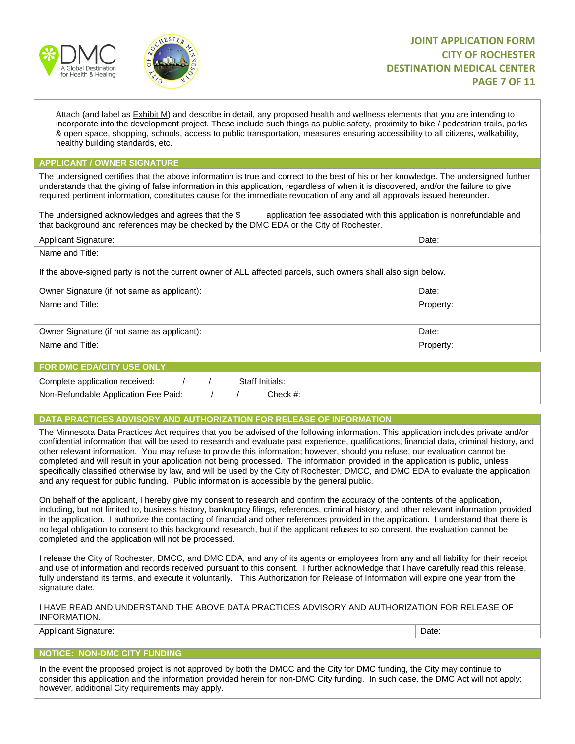



Attach (and label as Exhibit M) and describe in detail, any proposed health and wellness elements that you are intending to incorporate into the development project. These include such things as public safety, proximity to bike / pedestrian trails, parks & open space, shopping, schools, access to public transportation, measures ensuring accessibility to all citizens, walkability, healthy building standards, etc.

#### **APPLICANT / OWNER SIGNATURE**

The undersigned certifies that the above information is true and correct to the best of his or her knowledge. The undersigned further understands that the giving of false information in this application, regardless of when it is discovered, and/or the failure to give required pertinent information, constitutes cause for the immediate revocation of any and all approvals issued hereunder.

The undersigned acknowledges and agrees that the \$ application fee associated with this application is nonrefundable and that background and references may be checked by the DMC EDA or the City of Rochester.

| <b>Applicant Signature:</b>                                                                                    | Date:     |  |  |  |
|----------------------------------------------------------------------------------------------------------------|-----------|--|--|--|
| Name and Title:                                                                                                |           |  |  |  |
| If the above-signed party is not the current owner of ALL affected parcels, such owners shall also sign below. |           |  |  |  |
| Owner Signature (if not same as applicant):                                                                    | Date:     |  |  |  |
| Name and Title:                                                                                                | Property: |  |  |  |
|                                                                                                                |           |  |  |  |
| Owner Signature (if not same as applicant):                                                                    | Date:     |  |  |  |
| Name and Title:                                                                                                | Property: |  |  |  |

#### **FOR DMC EDA/CITY USE ONLY**

| Complete application received:       |  | Staff Initials: |
|--------------------------------------|--|-----------------|
| Non-Refundable Application Fee Paid: |  | Check $#$ :     |

### **DATA PRACTICES ADVISORY AND AUTHORIZATION FOR RELEASE OF INFORMATION**

The Minnesota Data Practices Act requires that you be advised of the following information. This application includes private and/or confidential information that will be used to research and evaluate past experience, qualifications, financial data, criminal history, and other relevant information. You may refuse to provide this information; however, should you refuse, our evaluation cannot be completed and will result in your application not being processed. The information provided in the application is public, unless specifically classified otherwise by law, and will be used by the City of Rochester, DMCC, and DMC EDA to evaluate the application and any request for public funding. Public information is accessible by the general public.

On behalf of the applicant, I hereby give my consent to research and confirm the accuracy of the contents of the application, including, but not limited to, business history, bankruptcy filings, references, criminal history, and other relevant information provided in the application. I authorize the contacting of financial and other references provided in the application. I understand that there is no legal obligation to consent to this background research, but if the applicant refuses to so consent, the evaluation cannot be completed and the application will not be processed.

I release the City of Rochester, DMCC, and DMC EDA, and any of its agents or employees from any and all liability for their receipt and use of information and records received pursuant to this consent. I further acknowledge that I have carefully read this release, fully understand its terms, and execute it voluntarily. This Authorization for Release of Information will expire one year from the signature date.

I HAVE READ AND UNDERSTAND THE ABOVE DATA PRACTICES ADVISORY AND AUTHORIZATION FOR RELEASE OF INFORMATION.

Applicant Signature: Date: Date: Date: Date: Date: Date: Date: Date: Date: Date: Date: Date: Date: Date: Date: Date: Date: Date: Date: Date: Date: Date: Date: Date: Date: Date: Date: Date: Date: Date: Date: Date: Date: Dat

#### **NOTICE: NON-DMC CITY FUNDING**

In the event the proposed project is not approved by both the DMCC and the City for DMC funding, the City may continue to consider this application and the information provided herein for non-DMC City funding. In such case, the DMC Act will not apply; however, additional City requirements may apply.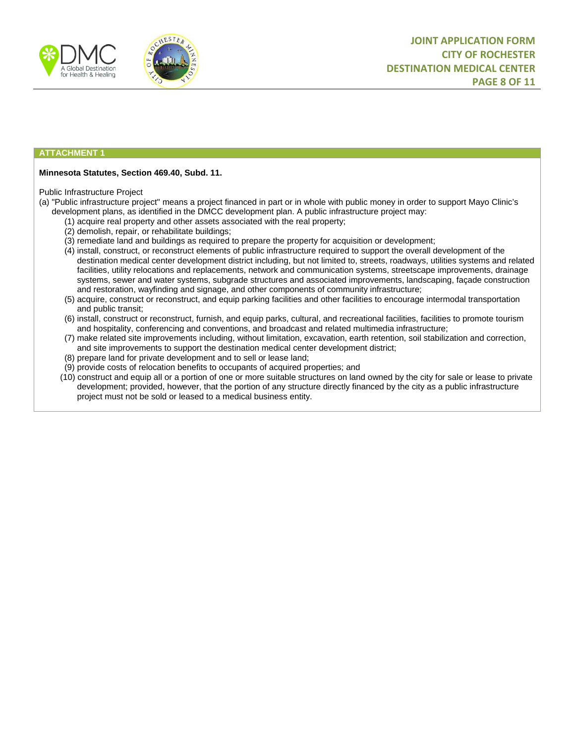



#### **ATTACHMENT 1**

#### **Minnesota Statutes, Section 469.40, Subd. 11.**

#### Public Infrastructure Project

(a) "Public infrastructure project" means a project financed in part or in whole with public money in order to support Mayo Clinic's development plans, as identified in the DMCC development plan. A public infrastructure project may:

- (1) acquire real property and other assets associated with the real property;
- (2) demolish, repair, or rehabilitate buildings;
- (3) remediate land and buildings as required to prepare the property for acquisition or development;
- (4) install, construct, or reconstruct elements of public infrastructure required to support the overall development of the destination medical center development district including, but not limited to, streets, roadways, utilities systems and related facilities, utility relocations and replacements, network and communication systems, streetscape improvements, drainage systems, sewer and water systems, subgrade structures and associated improvements, landscaping, façade construction and restoration, wayfinding and signage, and other components of community infrastructure;
- (5) acquire, construct or reconstruct, and equip parking facilities and other facilities to encourage intermodal transportation and public transit;
- (6) install, construct or reconstruct, furnish, and equip parks, cultural, and recreational facilities, facilities to promote tourism and hospitality, conferencing and conventions, and broadcast and related multimedia infrastructure;
- (7) make related site improvements including, without limitation, excavation, earth retention, soil stabilization and correction, and site improvements to support the destination medical center development district;
- (8) prepare land for private development and to sell or lease land;
- (9) provide costs of relocation benefits to occupants of acquired properties; and
- (10) construct and equip all or a portion of one or more suitable structures on land owned by the city for sale or lease to private development; provided, however, that the portion of any structure directly financed by the city as a public infrastructure project must not be sold or leased to a medical business entity.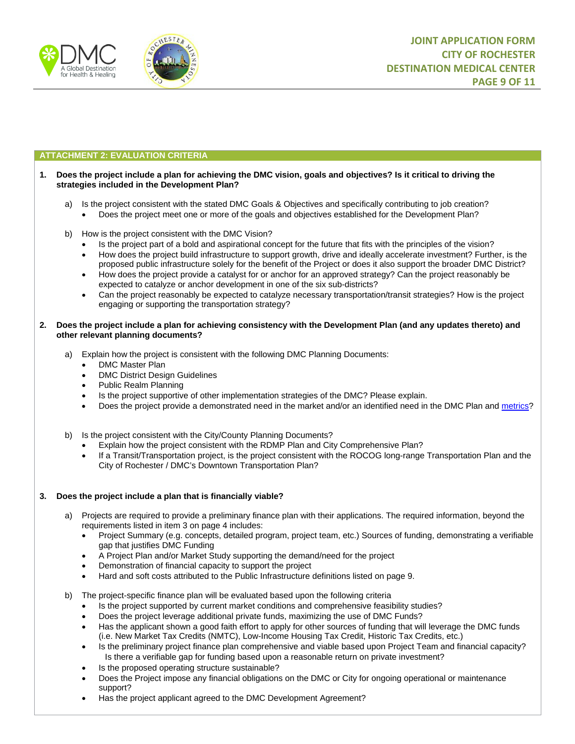



### **ATTACHMENT 2: EVALUATION CRITERIA**

#### **1. Does the project include a plan for achieving the DMC vision, goals and objectives? Is it critical to driving the strategies included in the Development Plan?**

- a) Is the project consistent with the stated DMC Goals & Objectives and specifically contributing to job creation? • Does the project meet one or more of the goals and objectives established for the Development Plan?
- b) How is the project consistent with the DMC Vision?
	- Is the project part of a bold and aspirational concept for the future that fits with the principles of the vision?
	- How does the project build infrastructure to support growth, drive and ideally accelerate investment? Further, is the proposed public infrastructure solely for the benefit of the Project or does it also support the broader DMC District?
	- How does the project provide a catalyst for or anchor for an approved strategy? Can the project reasonably be expected to catalyze or anchor development in one of the six sub-districts?
	- Can the project reasonably be expected to catalyze necessary transportation/transit strategies? How is the project engaging or supporting the transportation strategy?

#### **2. Does the project include a plan for achieving consistency with the Development Plan (and any updates thereto) and other relevant planning documents?**

- a) Explain how the project is consistent with the following DMC Planning Documents:
	- DMC Master Plan
	- **DMC District Design Guidelines**
	- Public Realm Planning
	- Is the project supportive of other implementation strategies of the DMC? Please explain.
	- Does the project provide a demonstrated need in the market and/or an identified need in the DMC Plan and [metrics?](https://prmp.trans411.com/smartcomp/dmcPublicDashboard.jsf)

b) Is the project consistent with the City/County Planning Documents?

- Explain how the project consistent with the RDMP Plan and City Comprehensive Plan?
- If a Transit/Transportation project, is the project consistent with the ROCOG long-range Transportation Plan and the City of Rochester / DMC's Downtown Transportation Plan?

#### **3. Does the project include a plan that is financially viable?**

- a) Projects are required to provide a preliminary finance plan with their applications. The required information, beyond the requirements listed in item 3 on page 4 includes:
	- Project Summary (e.g. concepts, detailed program, project team, etc.) Sources of funding, demonstrating a verifiable gap that justifies DMC Funding
	- A Project Plan and/or Market Study supporting the demand/need for the project
	- Demonstration of financial capacity to support the project
	- Hard and soft costs attributed to the Public Infrastructure definitions listed on page 9.
- b) The project-specific finance plan will be evaluated based upon the following criteria
	- Is the project supported by current market conditions and comprehensive feasibility studies?
	- Does the project leverage additional private funds, maximizing the use of DMC Funds?
	- Has the applicant shown a good faith effort to apply for other sources of funding that will leverage the DMC funds (i.e. New Market Tax Credits (NMTC), Low-Income Housing Tax Credit, Historic Tax Credits, etc.)
	- Is the preliminary project finance plan comprehensive and viable based upon Project Team and financial capacity? Is there a verifiable gap for funding based upon a reasonable return on private investment?
	- Is the proposed operating structure sustainable?
	- Does the Project impose any financial obligations on the DMC or City for ongoing operational or maintenance support?
	- Has the project applicant agreed to the DMC Development Agreement?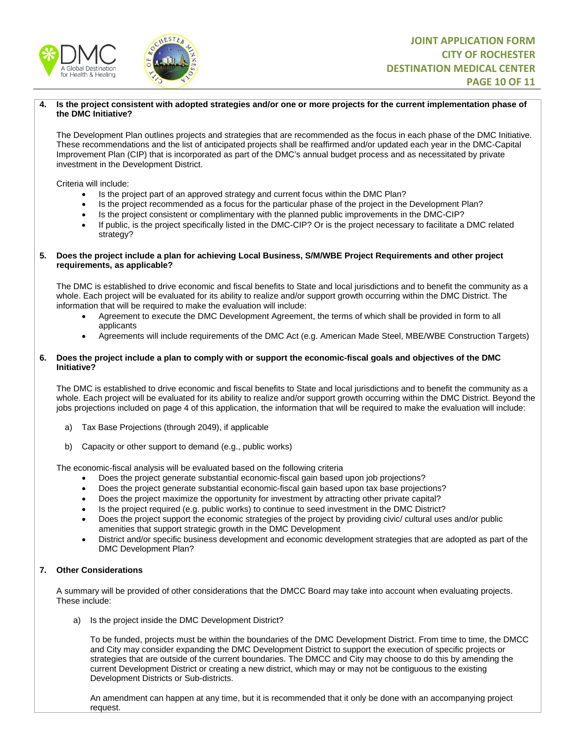



#### **4. Is the project consistent with adopted strategies and/or one or more projects for the current implementation phase of the DMC Initiative?**

The Development Plan outlines projects and strategies that are recommended as the focus in each phase of the DMC Initiative. These recommendations and the list of anticipated projects shall be reaffirmed and/or updated each year in the DMC-Capital Improvement Plan (CIP) that is incorporated as part of the DMC's annual budget process and as necessitated by private investment in the Development District.

Criteria will include:

- Is the project part of an approved strategy and current focus within the DMC Plan?
- Is the project recommended as a focus for the particular phase of the project in the Development Plan?
- Is the project consistent or complimentary with the planned public improvements in the DMC-CIP?
- If public, is the project specifically listed in the DMC-CIP? Or is the project necessary to facilitate a DMC related strategy?

#### **5. Does the project include a plan for achieving Local Business, S/M/WBE Project Requirements and other project requirements, as applicable?**

The DMC is established to drive economic and fiscal benefits to State and local jurisdictions and to benefit the community as a whole. Each project will be evaluated for its ability to realize and/or support growth occurring within the DMC District. The information that will be required to make the evaluation will include:

- Agreement to execute the DMC Development Agreement, the terms of which shall be provided in form to all applicants
- Agreements will include requirements of the DMC Act (e.g. American Made Steel, MBE/WBE Construction Targets)

#### **6. Does the project include a plan to comply with or support the economic-fiscal goals and objectives of the DMC Initiative?**

The DMC is established to drive economic and fiscal benefits to State and local jurisdictions and to benefit the community as a whole. Each project will be evaluated for its ability to realize and/or support growth occurring within the DMC District. Beyond the jobs projections included on page 4 of this application, the information that will be required to make the evaluation will include:

- a) Tax Base Projections (through 2049), if applicable
- b) Capacity or other support to demand (e.g., public works)

The economic-fiscal analysis will be evaluated based on the following criteria

- Does the project generate substantial economic-fiscal gain based upon job projections?
- Does the project generate substantial economic-fiscal gain based upon tax base projections?
- Does the project maximize the opportunity for investment by attracting other private capital?
- Is the project required (e.g. public works) to continue to seed investment in the DMC District?
- Does the project support the economic strategies of the project by providing civic/ cultural uses and/or public amenities that support strategic growth in the DMC Development
- District and/or specific business development and economic development strategies that are adopted as part of the DMC Development Plan?

#### **7. Other Considerations**

A summary will be provided of other considerations that the DMCC Board may take into account when evaluating projects. These include:

a) Is the project inside the DMC Development District?

To be funded, projects must be within the boundaries of the DMC Development District. From time to time, the DMCC and City may consider expanding the DMC Development District to support the execution of specific projects or strategies that are outside of the current boundaries. The DMCC and City may choose to do this by amending the current Development District or creating a new district, which may or may not be contiguous to the existing Development Districts or Sub-districts.

An amendment can happen at any time, but it is recommended that it only be done with an accompanying project request.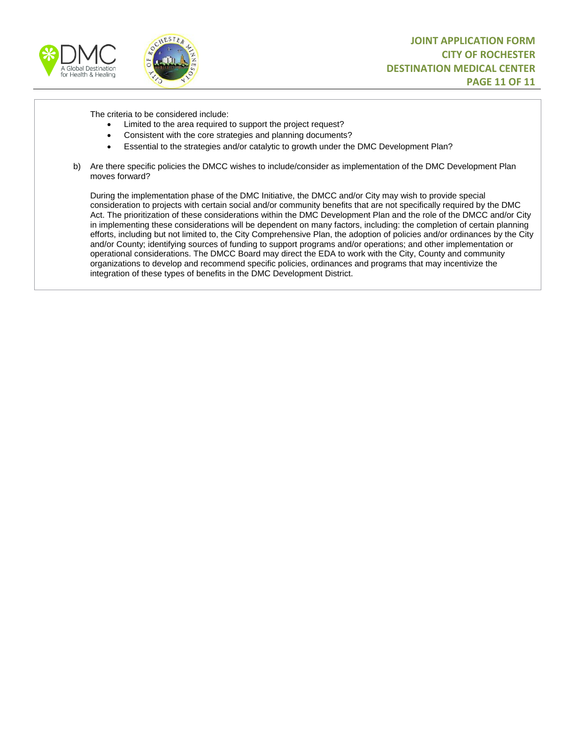



The criteria to be considered include:

- Limited to the area required to support the project request?
- Consistent with the core strategies and planning documents?
- Essential to the strategies and/or catalytic to growth under the DMC Development Plan?
- b) Are there specific policies the DMCC wishes to include/consider as implementation of the DMC Development Plan moves forward?

During the implementation phase of the DMC Initiative, the DMCC and/or City may wish to provide special consideration to projects with certain social and/or community benefits that are not specifically required by the DMC Act. The prioritization of these considerations within the DMC Development Plan and the role of the DMCC and/or City in implementing these considerations will be dependent on many factors, including: the completion of certain planning efforts, including but not limited to, the City Comprehensive Plan, the adoption of policies and/or ordinances by the City and/or County; identifying sources of funding to support programs and/or operations; and other implementation or operational considerations. The DMCC Board may direct the EDA to work with the City, County and community organizations to develop and recommend specific policies, ordinances and programs that may incentivize the integration of these types of benefits in the DMC Development District.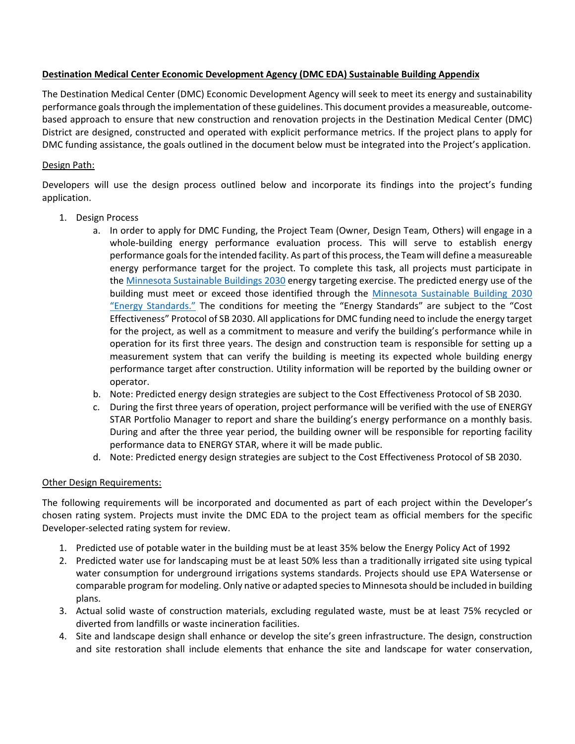# **Destination Medical Center Economic Development Agency (DMC EDA) Sustainable Building Appendix**

The Destination Medical Center (DMC) Economic Development Agency will seek to meet its energy and sustainability performance goals through the implementation of these guidelines. This document provides a measureable, outcomebased approach to ensure that new construction and renovation projects in the Destination Medical Center (DMC) District are designed, constructed and operated with explicit performance metrics. If the project plans to apply for DMC funding assistance, the goals outlined in the document below must be integrated into the Project's application.

# Design Path:

Developers will use the design process outlined below and incorporate its findings into the project's funding application.

- 1. Design Process
	- a. In order to apply for DMC Funding, the Project Team (Owner, Design Team, Others) will engage in a whole-building energy performance evaluation process. This will serve to establish energy performance goals for the intended facility. As part of this process, the Team will define a measureable energy performance target for the project. To complete this task, all projects must participate in the [Minnesota Sustainable Buildings 2030](http://sb2030.twgidemo.com/SB2030Calculator#/intro) energy targeting exercise. The predicted energy use of the building must meet or exceed those identified through the [Minnesota Sustainable Building 2030](http://www.b3mn.org/2030energystandard/) ["Energy Standards."](http://www.b3mn.org/2030energystandard/) The conditions for meeting the "Energy Standards" are subject to the "Cost Effectiveness" Protocol of SB 2030. All applications for DMC funding need to include the energy target for the project, as well as a commitment to measure and verify the building's performance while in operation for its first three years. The design and construction team is responsible for setting up a measurement system that can verify the building is meeting its expected whole building energy performance target after construction. Utility information will be reported by the building owner or operator.
	- b. Note: Predicted energy design strategies are subject to the Cost Effectiveness Protocol of SB 2030.
	- c. During the first three years of operation, project performance will be verified with the use of ENERGY STAR Portfolio Manager to report and share the building's energy performance on a monthly basis. During and after the three year period, the building owner will be responsible for reporting facility performance data to ENERGY STAR, where it will be made public.
	- d. Note: Predicted energy design strategies are subject to the Cost Effectiveness Protocol of SB 2030.

## Other Design Requirements:

The following requirements will be incorporated and documented as part of each project within the Developer's chosen rating system. Projects must invite the DMC EDA to the project team as official members for the specific Developer-selected rating system for review.

- 1. Predicted use of potable water in the building must be at least 35% below the Energy Policy Act of 1992
- 2. Predicted water use for landscaping must be at least 50% less than a traditionally irrigated site using typical water consumption for underground irrigations systems standards. Projects should use EPA Watersense or comparable program for modeling. Only native or adapted species to Minnesota should be included in building plans.
- 3. Actual solid waste of construction materials, excluding regulated waste, must be at least 75% recycled or diverted from landfills or waste incineration facilities.
- 4. Site and landscape design shall enhance or develop the site's green infrastructure. The design, construction and site restoration shall include elements that enhance the site and landscape for water conservation,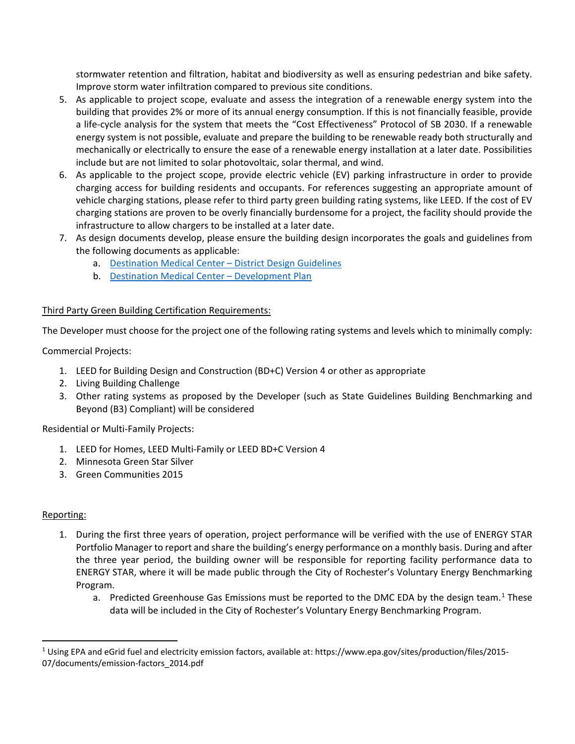stormwater retention and filtration, habitat and biodiversity as well as ensuring pedestrian and bike safety. Improve storm water infiltration compared to previous site conditions.

- 5. As applicable to project scope, evaluate and assess the integration of a renewable energy system into the building that provides 2% or more of its annual energy consumption. If this is not financially feasible, provide a life-cycle analysis for the system that meets the "Cost Effectiveness" Protocol of SB 2030. If a renewable energy system is not possible, evaluate and prepare the building to be renewable ready both structurally and mechanically or electrically to ensure the ease of a renewable energy installation at a later date. Possibilities include but are not limited to solar photovoltaic, solar thermal, and wind.
- 6. As applicable to the project scope, provide electric vehicle (EV) parking infrastructure in order to provide charging access for building residents and occupants. For references suggesting an appropriate amount of vehicle charging stations, please refer to third party green building rating systems, like LEED. If the cost of EV charging stations are proven to be overly financially burdensome for a project, the facility should provide the infrastructure to allow chargers to be installed at a later date.
- 7. As design documents develop, please ensure the building design incorporates the goals and guidelines from the following documents as applicable:
	- a. [Destination Medical Center District Design Guidelines](https://www.rochestermn.gov/Home/ShowDocument?id=10867)
	- b. [Destination Medical Center Development Plan](https://dmc.mn/themencode-pdf-viewer/?file=https://dmc.mn/wp-content/uploads/development-plan/DMC%20Development%20Plan%20Vol.%20II%20(Sec%205-6)%20DRAFT.pdf)

# Third Party Green Building Certification Requirements:

The Developer must choose for the project one of the following rating systems and levels which to minimally comply:

Commercial Projects:

- 1. LEED for Building Design and Construction (BD+C) Version 4 or other as appropriate
- 2. Living Building Challenge
- 3. Other rating systems as proposed by the Developer (such as State Guidelines Building Benchmarking and Beyond (B3) Compliant) will be considered

Residential or Multi-Family Projects:

- 1. LEED for Homes, LEED Multi-Family or LEED BD+C Version 4
- 2. Minnesota Green Star Silver
- 3. Green Communities 2015

# Reporting:

- 1. During the first three years of operation, project performance will be verified with the use of ENERGY STAR Portfolio Manager to report and share the building's energy performance on a monthly basis. During and after the three year period, the building owner will be responsible for reporting facility performance data to ENERGY STAR, where it will be made public through the City of Rochester's Voluntary Energy Benchmarking Program.
	- a. Predicted Greenhouse Gas Emissions must be reported to the DMC EDA by the design team.<sup>[1](#page-12-0)</sup> These data will be included in the City of Rochester's Voluntary Energy Benchmarking Program.

<span id="page-12-0"></span> $1$  Using EPA and eGrid fuel and electricity emission factors, available at: https://www.epa.gov/sites/production/files/2015-07/documents/emission-factors\_2014.pdf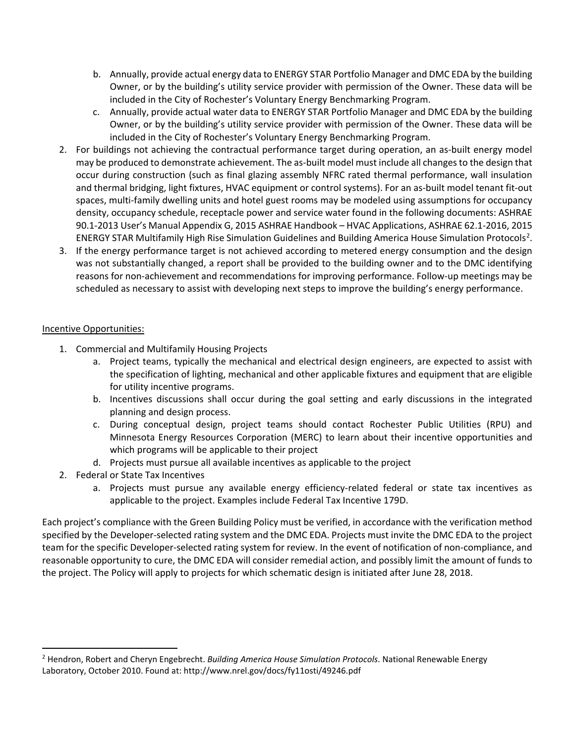- b. Annually, provide actual energy data to ENERGY STAR Portfolio Manager and DMC EDA by the building Owner, or by the building's utility service provider with permission of the Owner. These data will be included in the City of Rochester's Voluntary Energy Benchmarking Program.
- c. Annually, provide actual water data to ENERGY STAR Portfolio Manager and DMC EDA by the building Owner, or by the building's utility service provider with permission of the Owner. These data will be included in the City of Rochester's Voluntary Energy Benchmarking Program.
- 2. For buildings not achieving the contractual performance target during operation, an as-built energy model may be produced to demonstrate achievement. The as-built model must include all changes to the design that occur during construction (such as final glazing assembly NFRC rated thermal performance, wall insulation and thermal bridging, light fixtures, HVAC equipment or control systems). For an as-built model tenant fit-out spaces, multi-family dwelling units and hotel guest rooms may be modeled using assumptions for occupancy density, occupancy schedule, receptacle power and service water found in the following documents: ASHRAE 90.1-2013 User's Manual Appendix G, 2015 ASHRAE Handbook – HVAC Applications, ASHRAE 62.1-2016, 2015 ENERGY STAR Multifamily High Rise Simulation Guidelines and Building America House Simulation Protocols<sup>[2](#page-13-0)</sup>.
- 3. If the energy performance target is not achieved according to metered energy consumption and the design was not substantially changed, a report shall be provided to the building owner and to the DMC identifying reasons for non-achievement and recommendations for improving performance. Follow-up meetings may be scheduled as necessary to assist with developing next steps to improve the building's energy performance.

# Incentive Opportunities:

- 1. Commercial and Multifamily Housing Projects
	- a. Project teams, typically the mechanical and electrical design engineers, are expected to assist with the specification of lighting, mechanical and other applicable fixtures and equipment that are eligible for utility incentive programs.
	- b. Incentives discussions shall occur during the goal setting and early discussions in the integrated planning and design process.
	- c. During conceptual design, project teams should contact Rochester Public Utilities (RPU) and Minnesota Energy Resources Corporation (MERC) to learn about their incentive opportunities and which programs will be applicable to their project
	- d. Projects must pursue all available incentives as applicable to the project
- 2. Federal or State Tax Incentives
	- a. Projects must pursue any available energy efficiency-related federal or state tax incentives as applicable to the project. Examples include Federal Tax Incentive 179D.

Each project's compliance with the Green Building Policy must be verified, in accordance with the verification method specified by the Developer-selected rating system and the DMC EDA. Projects must invite the DMC EDA to the project team for the specific Developer-selected rating system for review. In the event of notification of non-compliance, and reasonable opportunity to cure, the DMC EDA will consider remedial action, and possibly limit the amount of funds to the project. The Policy will apply to projects for which schematic design is initiated after June 28, 2018.

<span id="page-13-0"></span><sup>2</sup> Hendron, Robert and Cheryn Engebrecht. *Building America House Simulation Protocols*. National Renewable Energy Laboratory, October 2010. Found at: http://www.nrel.gov/docs/fy11osti/49246.pdf